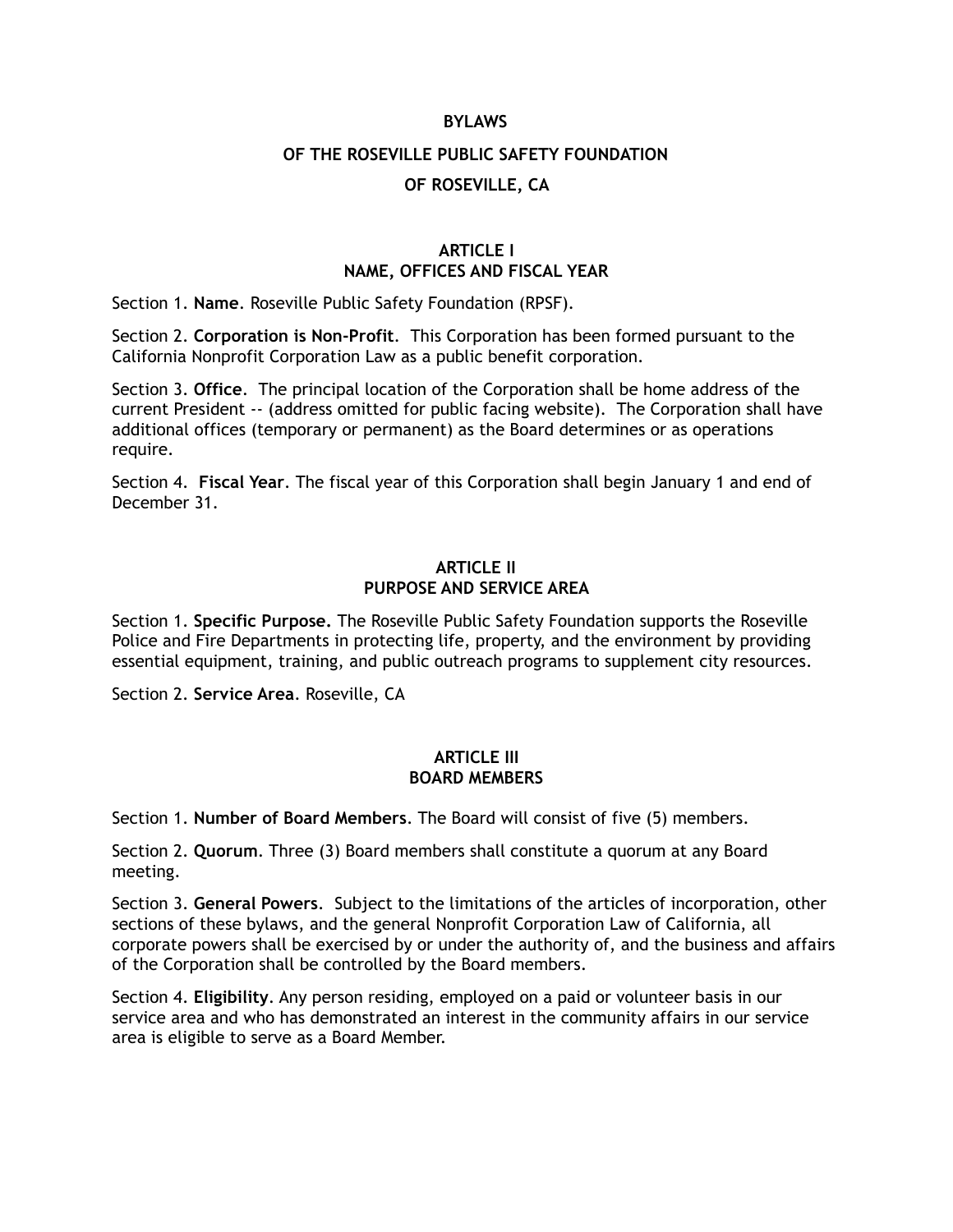# **BYLAWS**

# **OF THE ROSEVILLE PUBLIC SAFETY FOUNDATION OF ROSEVILLE, CA**

# **ARTICLE I NAME, OFFICES AND FISCAL YEAR**

Section 1. **Name**. Roseville Public Safety Foundation (RPSF).

Section 2. **Corporation is Non-Profit**. This Corporation has been formed pursuant to the California Nonprofit Corporation Law as a public benefit corporation.

Section 3. **Office**. The principal location of the Corporation shall be home address of the current President -- (address omitted for public facing website). The Corporation shall have additional offices (temporary or permanent) as the Board determines or as operations require.

Section 4. **Fiscal Year**. The fiscal year of this Corporation shall begin January 1 and end of December 31.

# **ARTICLE II PURPOSE AND SERVICE AREA**

Section 1. **Specific Purpose.** The Roseville Public Safety Foundation supports the Roseville Police and Fire Departments in protecting life, property, and the environment by providing essential equipment, training, and public outreach programs to supplement city resources.

Section 2. **Service Area**. Roseville, CA

#### **ARTICLE III BOARD MEMBERS**

Section 1. **Number of Board Members**. The Board will consist of five (5) members.

Section 2. **Quorum**. Three (3) Board members shall constitute a quorum at any Board meeting.

Section 3. **General Powers**. Subject to the limitations of the articles of incorporation, other sections of these bylaws, and the general Nonprofit Corporation Law of California, all corporate powers shall be exercised by or under the authority of, and the business and affairs of the Corporation shall be controlled by the Board members.

Section 4. **Eligibility**. Any person residing, employed on a paid or volunteer basis in our service area and who has demonstrated an interest in the community affairs in our service area is eligible to serve as a Board Member.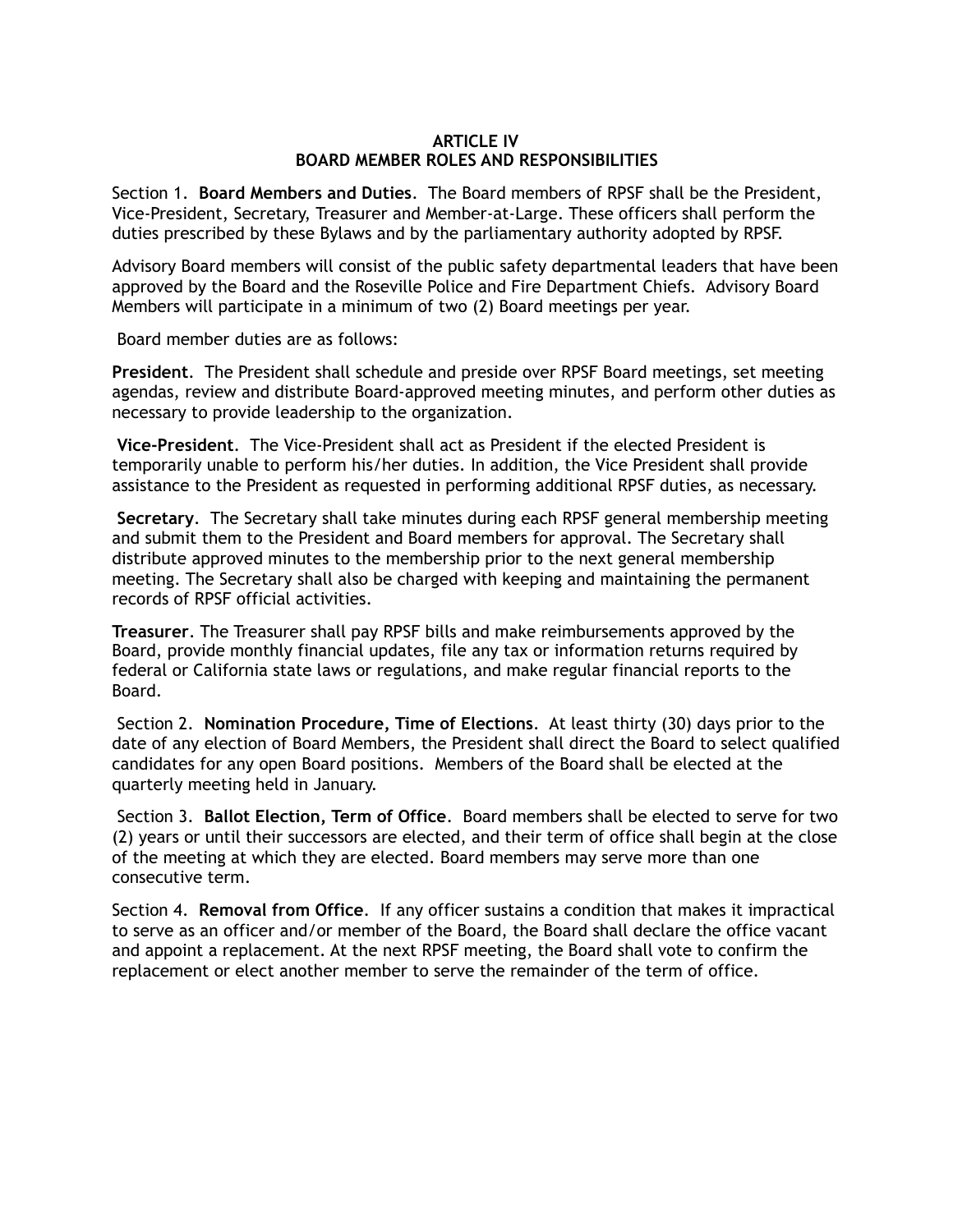#### **ARTICLE IV BOARD MEMBER ROLES AND RESPONSIBILITIES**

Section 1. **Board Members and Duties**. The Board members of RPSF shall be the President, Vice-President, Secretary, Treasurer and Member-at-Large. These officers shall perform the duties prescribed by these Bylaws and by the parliamentary authority adopted by RPSF.

Advisory Board members will consist of the public safety departmental leaders that have been approved by the Board and the Roseville Police and Fire Department Chiefs. Advisory Board Members will participate in a minimum of two (2) Board meetings per year.

Board member duties are as follows:

**President**. The President shall schedule and preside over RPSF Board meetings, set meeting agendas, review and distribute Board-approved meeting minutes, and perform other duties as necessary to provide leadership to the organization.

**Vice-President**. The Vice-President shall act as President if the elected President is temporarily unable to perform his/her duties. In addition, the Vice President shall provide assistance to the President as requested in performing additional RPSF duties, as necessary.

**Secretary**. The Secretary shall take minutes during each RPSF general membership meeting and submit them to the President and Board members for approval. The Secretary shall distribute approved minutes to the membership prior to the next general membership meeting. The Secretary shall also be charged with keeping and maintaining the permanent records of RPSF official activities.

**Treasurer**. The Treasurer shall pay RPSF bills and make reimbursements approved by the Board, provide monthly financial updates, file any tax or information returns required by federal or California state laws or regulations, and make regular financial reports to the Board.

 Section 2. **Nomination Procedure, Time of Elections**. At least thirty (30) days prior to the date of any election of Board Members, the President shall direct the Board to select qualified candidates for any open Board positions. Members of the Board shall be elected at the quarterly meeting held in January.

 Section 3. **Ballot Election, Term of Office**. Board members shall be elected to serve for two (2) years or until their successors are elected, and their term of office shall begin at the close of the meeting at which they are elected. Board members may serve more than one consecutive term.

Section 4. **Removal from Office**. If any officer sustains a condition that makes it impractical to serve as an officer and/or member of the Board, the Board shall declare the office vacant and appoint a replacement. At the next RPSF meeting, the Board shall vote to confirm the replacement or elect another member to serve the remainder of the term of office.